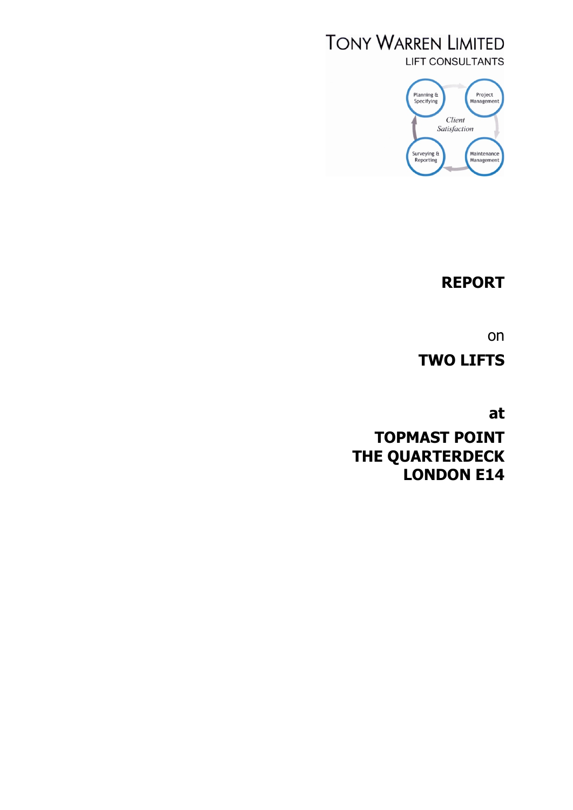# **TONY WARREN LIMITED LIFT CONSULTANTS**



# **REPORT**

on

**TWO LIFTS**

**at**

**TOPMAST POINT THE QUARTERDECK LONDON E14**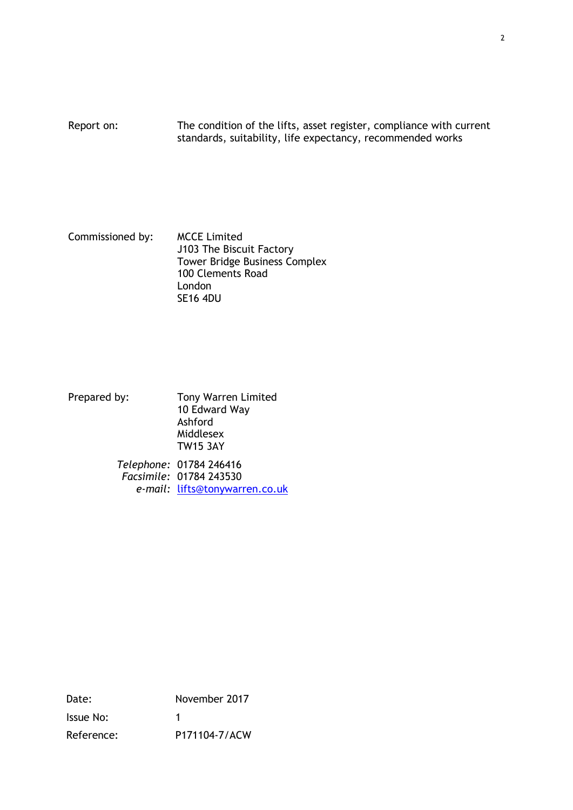Report on: The condition of the lifts, asset register, compliance with current standards, suitability, life expectancy, recommended works

Commissioned by: MCCE Limited J103 The Biscuit Factory Tower Bridge Business Complex 100 Clements Road London SE16 4DU

Prepared by: Tony Warren Limited 10 Edward Way Ashford Middlesex TW15 3AY

*Telephone:* 01784 246416 *Facsimile:* 01784 243530 *e-mail:* lifts@tonywarren.co.uk

Date: November 2017 Issue No: 1 Reference: P171104-7/ACW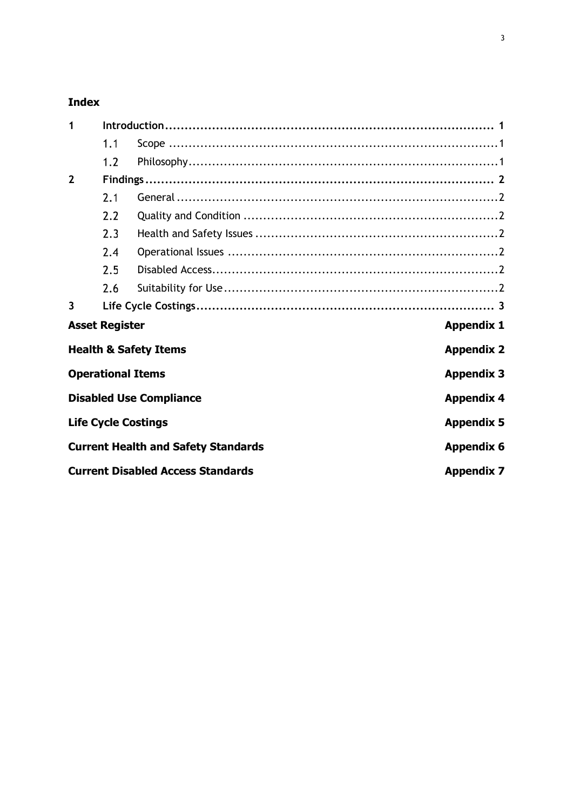## **Index**

| 1                       |                          |                                            |                   |
|-------------------------|--------------------------|--------------------------------------------|-------------------|
|                         | 1.1                      |                                            |                   |
|                         | 1.2                      |                                            |                   |
| $\overline{2}$          |                          |                                            |                   |
|                         | 2.1                      |                                            |                   |
|                         | 2.2                      |                                            |                   |
|                         | 2.3                      |                                            |                   |
|                         | 2.4                      |                                            |                   |
|                         | 2.5                      |                                            |                   |
|                         | 2.6                      |                                            |                   |
| $\overline{\mathbf{3}}$ |                          |                                            |                   |
|                         | <b>Asset Register</b>    |                                            | <b>Appendix 1</b> |
|                         |                          | <b>Health &amp; Safety Items</b>           | <b>Appendix 2</b> |
|                         | <b>Operational Items</b> |                                            | <b>Appendix 3</b> |
|                         |                          | <b>Disabled Use Compliance</b>             | <b>Appendix 4</b> |
|                         |                          | <b>Life Cycle Costings</b>                 | <b>Appendix 5</b> |
|                         |                          | <b>Current Health and Safety Standards</b> | <b>Appendix 6</b> |
|                         |                          | <b>Current Disabled Access Standards</b>   | <b>Appendix 7</b> |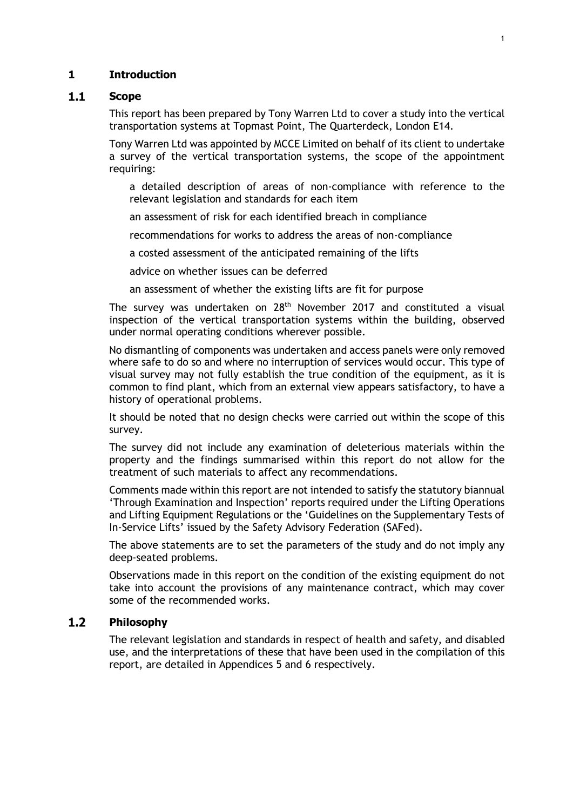## **1 Introduction**

### $1.1$ **Scope**

This report has been prepared by Tony Warren Ltd to cover a study into the vertical transportation systems at Topmast Point, The Quarterdeck, London E14.

Tony Warren Ltd was appointed by MCCE Limited on behalf of its client to undertake a survey of the vertical transportation systems, the scope of the appointment requiring:

a detailed description of areas of non-compliance with reference to the relevant legislation and standards for each item

an assessment of risk for each identified breach in compliance

recommendations for works to address the areas of non-compliance

a costed assessment of the anticipated remaining of the lifts

advice on whether issues can be deferred

an assessment of whether the existing lifts are fit for purpose

The survey was undertaken on 28<sup>th</sup> November 2017 and constituted a visual inspection of the vertical transportation systems within the building, observed under normal operating conditions wherever possible.

No dismantling of components was undertaken and access panels were only removed where safe to do so and where no interruption of services would occur. This type of visual survey may not fully establish the true condition of the equipment, as it is common to find plant, which from an external view appears satisfactory, to have a history of operational problems.

It should be noted that no design checks were carried out within the scope of this survey.

The survey did not include any examination of deleterious materials within the property and the findings summarised within this report do not allow for the treatment of such materials to affect any recommendations.

Comments made within this report are not intended to satisfy the statutory biannual 'Through Examination and Inspection' reports required under the Lifting Operations and Lifting Equipment Regulations or the 'Guidelines on the Supplementary Tests of In-Service Lifts' issued by the Safety Advisory Federation (SAFed).

The above statements are to set the parameters of the study and do not imply any deep-seated problems.

Observations made in this report on the condition of the existing equipment do not take into account the provisions of any maintenance contract, which may cover some of the recommended works.

### $1.2$ **Philosophy**

The relevant legislation and standards in respect of health and safety, and disabled use, and the interpretations of these that have been used in the compilation of this report, are detailed in Appendices 5 and 6 respectively.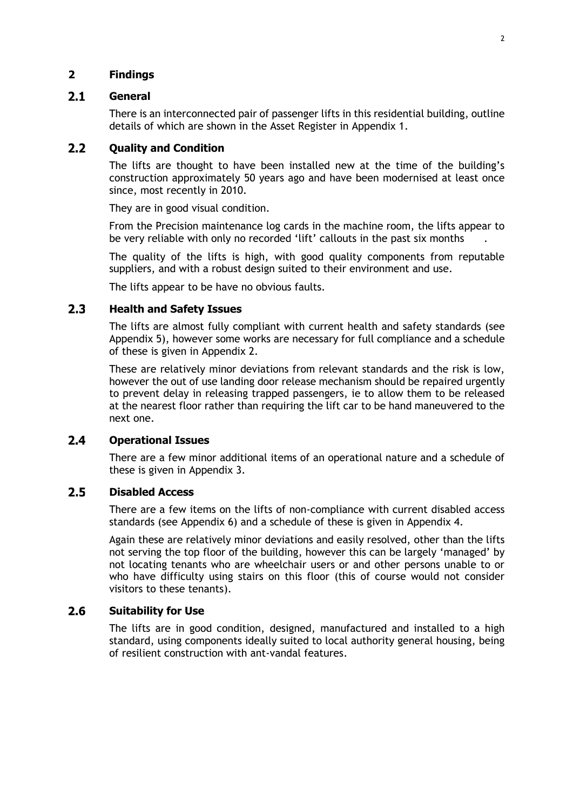## **2 Findings**

### $2.1$ **General**

There is an interconnected pair of passenger lifts in this residential building, outline details of which are shown in the Asset Register in Appendix 1.

### $2.2$ **Quality and Condition**

The lifts are thought to have been installed new at the time of the building's construction approximately 50 years ago and have been modernised at least once since, most recently in 2010.

They are in good visual condition.

From the Precision maintenance log cards in the machine room, the lifts appear to be very reliable with only no recorded 'lift' callouts in the past six months

The quality of the lifts is high, with good quality components from reputable suppliers, and with a robust design suited to their environment and use.

The lifts appear to be have no obvious faults.

### $2.3$ **Health and Safety Issues**

The lifts are almost fully compliant with current health and safety standards (see Appendix 5), however some works are necessary for full compliance and a schedule of these is given in Appendix 2.

These are relatively minor deviations from relevant standards and the risk is low, however the out of use landing door release mechanism should be repaired urgently to prevent delay in releasing trapped passengers, ie to allow them to be released at the nearest floor rather than requiring the lift car to be hand maneuvered to the next one.

### $2.4$ **Operational Issues**

There are a few minor additional items of an operational nature and a schedule of these is given in Appendix 3.

### $2.5$ **Disabled Access**

There are a few items on the lifts of non-compliance with current disabled access standards (see Appendix 6) and a schedule of these is given in Appendix 4.

Again these are relatively minor deviations and easily resolved, other than the lifts not serving the top floor of the building, however this can be largely 'managed' by not locating tenants who are wheelchair users or and other persons unable to or who have difficulty using stairs on this floor (this of course would not consider visitors to these tenants).

### $2.6$ **Suitability for Use**

The lifts are in good condition, designed, manufactured and installed to a high standard, using components ideally suited to local authority general housing, being of resilient construction with ant-vandal features.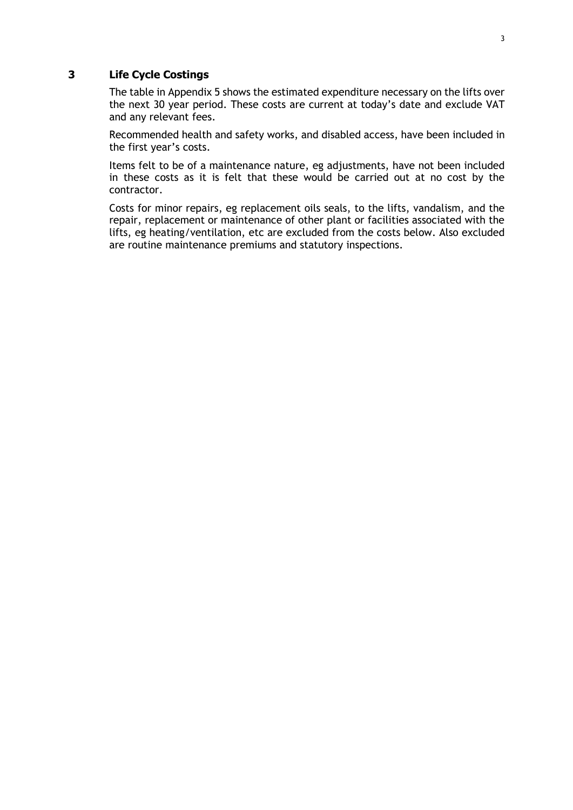## **3 Life Cycle Costings**

The table in Appendix 5 shows the estimated expenditure necessary on the lifts over the next 30 year period. These costs are current at today's date and exclude VAT and any relevant fees.

Recommended health and safety works, and disabled access, have been included in the first year's costs.

Items felt to be of a maintenance nature, eg adjustments, have not been included in these costs as it is felt that these would be carried out at no cost by the contractor.

Costs for minor repairs, eg replacement oils seals, to the lifts, vandalism, and the repair, replacement or maintenance of other plant or facilities associated with the lifts, eg heating/ventilation, etc are excluded from the costs below. Also excluded are routine maintenance premiums and statutory inspections.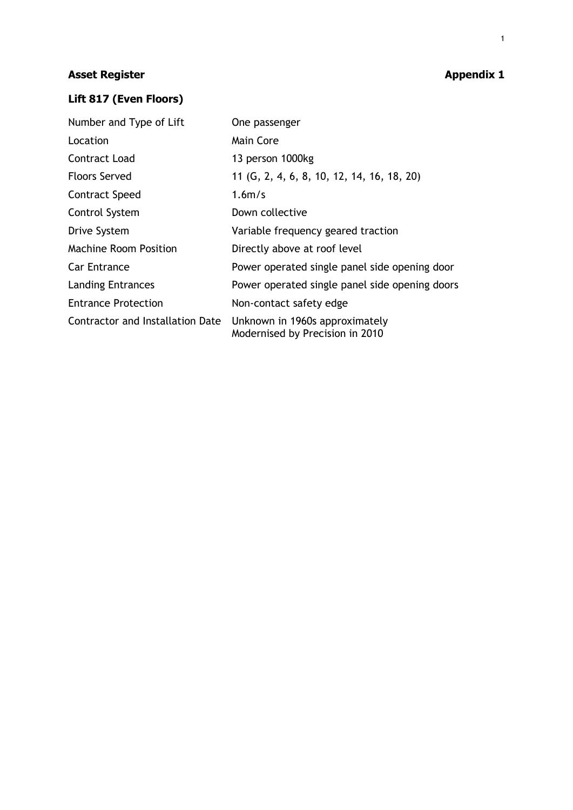# **Asset Register Appendix 1**

# **Lift 817 (Even Floors)**

| Number and Type of Lift          | One passenger                                                     |  |  |  |  |  |  |  |  |
|----------------------------------|-------------------------------------------------------------------|--|--|--|--|--|--|--|--|
| Location                         | Main Core                                                         |  |  |  |  |  |  |  |  |
| Contract Load                    | 13 person 1000kg                                                  |  |  |  |  |  |  |  |  |
| <b>Floors Served</b>             | 11 (G, 2, 4, 6, 8, 10, 12, 14, 16, 18, 20)                        |  |  |  |  |  |  |  |  |
| Contract Speed                   | 1.6 <sub>m/s</sub>                                                |  |  |  |  |  |  |  |  |
| Control System                   | Down collective                                                   |  |  |  |  |  |  |  |  |
| Drive System                     | Variable frequency geared traction                                |  |  |  |  |  |  |  |  |
| <b>Machine Room Position</b>     | Directly above at roof level                                      |  |  |  |  |  |  |  |  |
| <b>Car Entrance</b>              | Power operated single panel side opening door                     |  |  |  |  |  |  |  |  |
| <b>Landing Entrances</b>         | Power operated single panel side opening doors                    |  |  |  |  |  |  |  |  |
| <b>Entrance Protection</b>       | Non-contact safety edge                                           |  |  |  |  |  |  |  |  |
| Contractor and Installation Date | Unknown in 1960s approximately<br>Modernised by Precision in 2010 |  |  |  |  |  |  |  |  |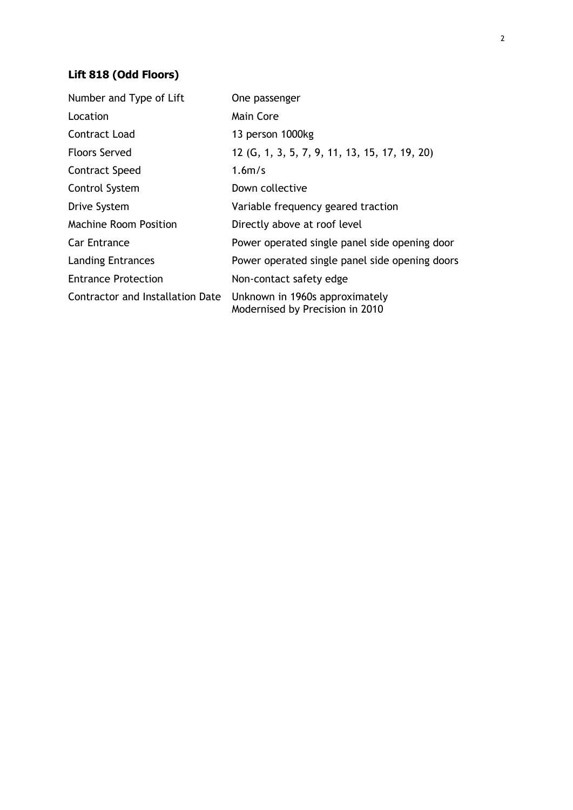# **Lift 818 (Odd Floors)**

| Number and Type of Lift          | One passenger                                                     |  |  |  |  |  |  |  |  |
|----------------------------------|-------------------------------------------------------------------|--|--|--|--|--|--|--|--|
| Location                         | Main Core                                                         |  |  |  |  |  |  |  |  |
| Contract Load                    | 13 person 1000kg                                                  |  |  |  |  |  |  |  |  |
| <b>Floors Served</b>             | 12 (G, 1, 3, 5, 7, 9, 11, 13, 15, 17, 19, 20)                     |  |  |  |  |  |  |  |  |
| <b>Contract Speed</b>            | 1.6 <sub>m/s</sub>                                                |  |  |  |  |  |  |  |  |
| Control System                   | Down collective                                                   |  |  |  |  |  |  |  |  |
| Drive System                     | Variable frequency geared traction                                |  |  |  |  |  |  |  |  |
| <b>Machine Room Position</b>     | Directly above at roof level                                      |  |  |  |  |  |  |  |  |
| Car Entrance                     | Power operated single panel side opening door                     |  |  |  |  |  |  |  |  |
| <b>Landing Entrances</b>         | Power operated single panel side opening doors                    |  |  |  |  |  |  |  |  |
| <b>Entrance Protection</b>       | Non-contact safety edge                                           |  |  |  |  |  |  |  |  |
| Contractor and Installation Date | Unknown in 1960s approximately<br>Modernised by Precision in 2010 |  |  |  |  |  |  |  |  |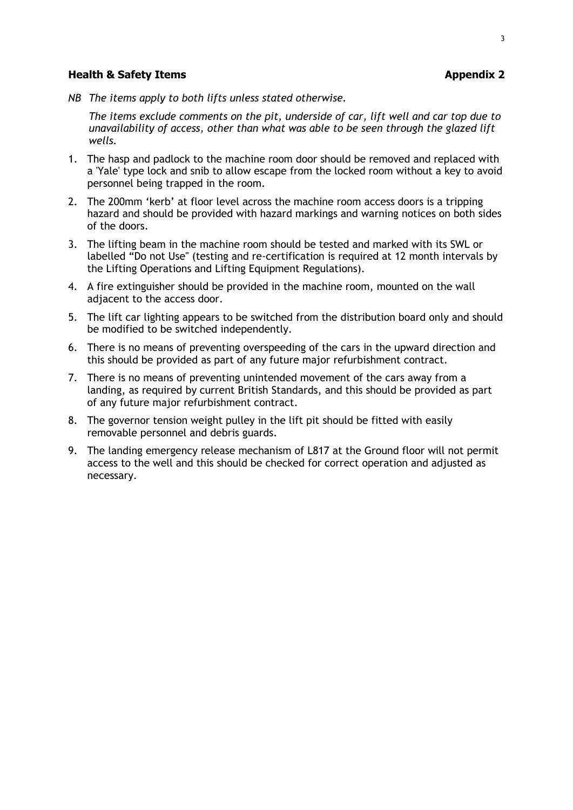### **Health & Safety Items Appendix 2**

*NB The items apply to both lifts unless stated otherwise.*

*The items exclude comments on the pit, underside of car, lift well and car top due to unavailability of access, other than what was able to be seen through the glazed lift wells.*

- 1. The hasp and padlock to the machine room door should be removed and replaced with a 'Yale' type lock and snib to allow escape from the locked room without a key to avoid personnel being trapped in the room.
- 2. The 200mm 'kerb' at floor level across the machine room access doors is a tripping hazard and should be provided with hazard markings and warning notices on both sides of the doors.
- 3. The lifting beam in the machine room should be tested and marked with its SWL or labelled "Do not Use" (testing and re-certification is required at 12 month intervals by the Lifting Operations and Lifting Equipment Regulations).
- 4. A fire extinguisher should be provided in the machine room, mounted on the wall adjacent to the access door.
- 5. The lift car lighting appears to be switched from the distribution board only and should be modified to be switched independently.
- 6. There is no means of preventing overspeeding of the cars in the upward direction and this should be provided as part of any future major refurbishment contract.
- 7. There is no means of preventing unintended movement of the cars away from a landing, as required by current British Standards, and this should be provided as part of any future major refurbishment contract.
- 8. The governor tension weight pulley in the lift pit should be fitted with easily removable personnel and debris guards.
- 9. The landing emergency release mechanism of L817 at the Ground floor will not permit access to the well and this should be checked for correct operation and adjusted as necessary.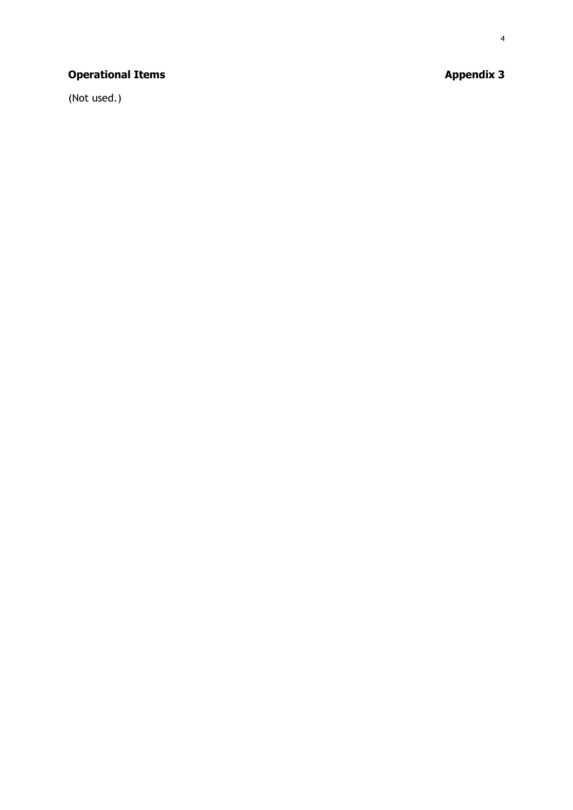# **Operational Items Appendix 3**

(Not used.)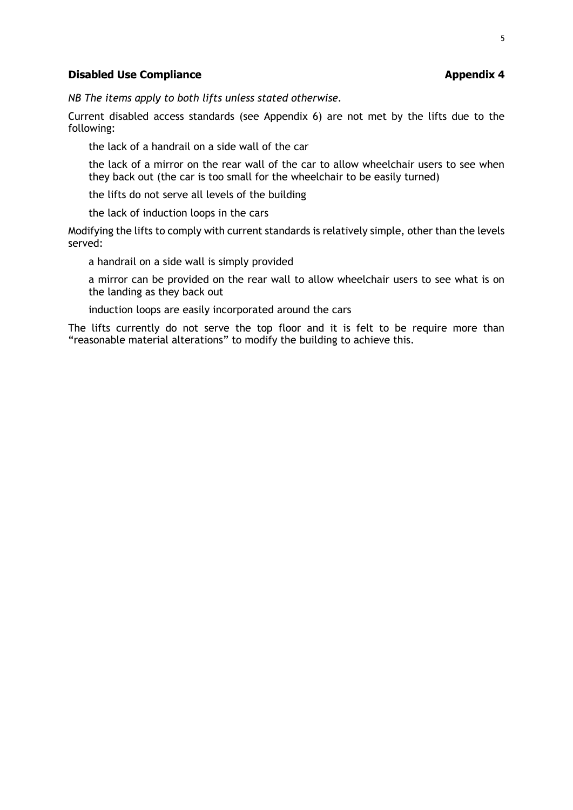## **Disabled Use Compliance Appendix 4**

*NB The items apply to both lifts unless stated otherwise.*

Current disabled access standards (see Appendix 6) are not met by the lifts due to the following:

the lack of a handrail on a side wall of the car

the lack of a mirror on the rear wall of the car to allow wheelchair users to see when they back out (the car is too small for the wheelchair to be easily turned)

the lifts do not serve all levels of the building

the lack of induction loops in the cars

Modifying the lifts to comply with current standards is relatively simple, other than the levels served:

a handrail on a side wall is simply provided

a mirror can be provided on the rear wall to allow wheelchair users to see what is on the landing as they back out

induction loops are easily incorporated around the cars

The lifts currently do not serve the top floor and it is felt to be require more than "reasonable material alterations" to modify the building to achieve this.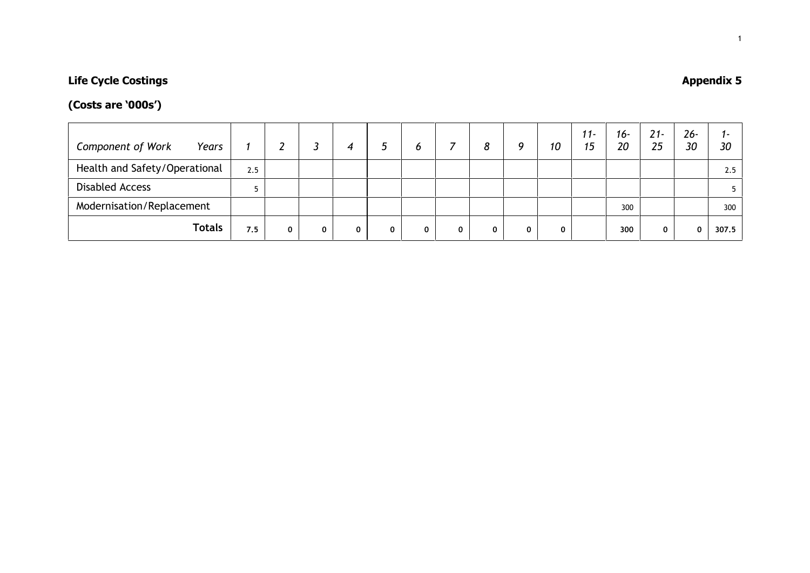# **Life Cycle Costings Appendix 5**

# **(Costs are '000s')**

| <b>Component of Work</b><br>Years |     |   |   |   |   | O |   | 8 | Ω | 10 | $11 -$<br>15 | 16-<br>20 | $21 -$<br>25 | $26 -$<br>30 | ı –<br>30 |
|-----------------------------------|-----|---|---|---|---|---|---|---|---|----|--------------|-----------|--------------|--------------|-----------|
| Health and Safety/Operational     | 2.5 |   |   |   |   |   |   |   |   |    |              |           |              |              | 2.5       |
| <b>Disabled Access</b>            |     |   |   |   |   |   |   |   |   |    |              |           |              |              |           |
| Modernisation/Replacement         |     |   |   |   |   |   |   |   |   |    |              | 300       |              |              | 300       |
| <b>Totals</b>                     | 7.5 | 0 | 0 | 0 | 0 | 0 | 0 |   |   |    |              | 300       | 0            | 0            | 307.5     |

1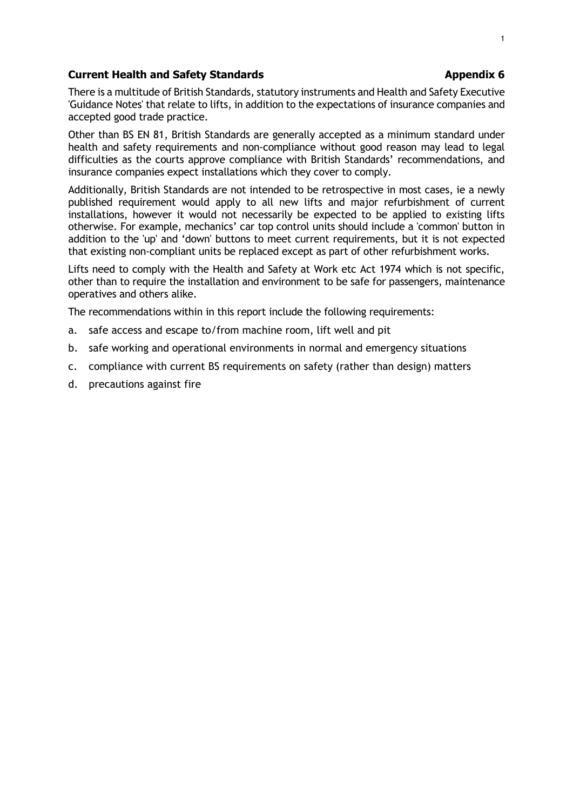## **Current Health and Safety Standards Appendix 6 Appendix 6 Appendix 6**

## There is a multitude of British Standards, statutory instruments and Health and Safety Executive 'Guidance Notes' that relate to lifts, in addition to the expectations of insurance companies and accepted good trade practice.

Other than BS EN 81, British Standards are generally accepted as a minimum standard under health and safety requirements and non-compliance without good reason may lead to legal difficulties as the courts approve compliance with British Standards' recommendations, and insurance companies expect installations which they cover to comply.

Additionally, British Standards are not intended to be retrospective in most cases, ie a newly published requirement would apply to all new lifts and major refurbishment of current installations, however it would not necessarily be expected to be applied to existing lifts otherwise. For example, mechanics' car top control units should include a 'common' button in addition to the 'up' and 'down' buttons to meet current requirements, but it is not expected that existing non-compliant units be replaced except as part of other refurbishment works.

Lifts need to comply with the Health and Safety at Work etc Act 1974 which is not specific, other than to require the installation and environment to be safe for passengers, maintenance operatives and others alike.

The recommendations within in this report include the following requirements:

- a. safe access and escape to/from machine room, lift well and pit
- b. safe working and operational environments in normal and emergency situations
- c. compliance with current BS requirements on safety (rather than design) matters
- d. precautions against fire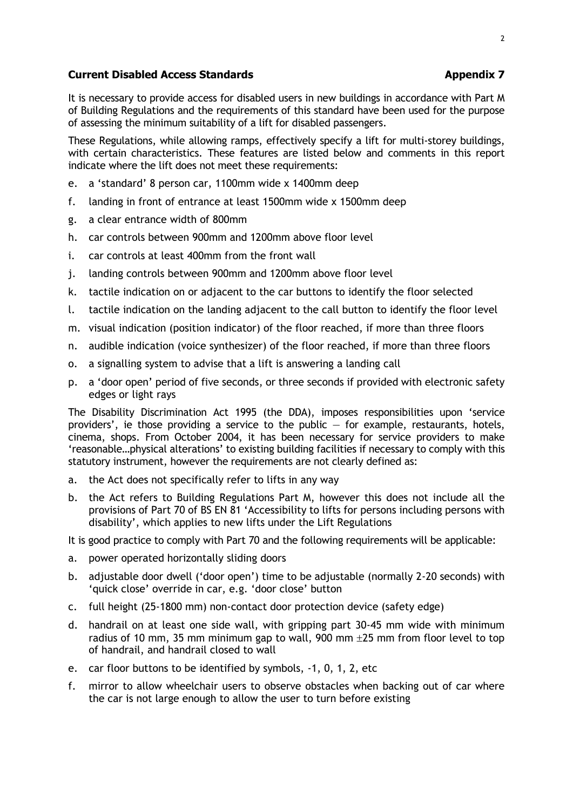## **Current Disabled Access Standards Appendix 7 Appendix 7**

It is necessary to provide access for disabled users in new buildings in accordance with Part M of Building Regulations and the requirements of this standard have been used for the purpose of assessing the minimum suitability of a lift for disabled passengers.

These Regulations, while allowing ramps, effectively specify a lift for multi-storey buildings, with certain characteristics. These features are listed below and comments in this report indicate where the lift does not meet these requirements:

- e. a 'standard' 8 person car, 1100mm wide x 1400mm deep
- f. landing in front of entrance at least 1500mm wide x 1500mm deep
- g. a clear entrance width of 800mm
- h. car controls between 900mm and 1200mm above floor level
- i. car controls at least 400mm from the front wall
- j. landing controls between 900mm and 1200mm above floor level
- k. tactile indication on or adjacent to the car buttons to identify the floor selected
- l. tactile indication on the landing adjacent to the call button to identify the floor level
- m. visual indication (position indicator) of the floor reached, if more than three floors
- n. audible indication (voice synthesizer) of the floor reached, if more than three floors
- o. a signalling system to advise that a lift is answering a landing call
- p. a 'door open' period of five seconds, or three seconds if provided with electronic safety edges or light rays

The Disability Discrimination Act 1995 (the DDA), imposes responsibilities upon 'service providers', ie those providing a service to the public  $-$  for example, restaurants, hotels, cinema, shops. From October 2004, it has been necessary for service providers to make 'reasonable…physical alterations' to existing building facilities if necessary to comply with this statutory instrument, however the requirements are not clearly defined as:

- a. the Act does not specifically refer to lifts in any way
- b. the Act refers to Building Regulations Part M, however this does not include all the provisions of Part 70 of BS EN 81 'Accessibility to lifts for persons including persons with disability', which applies to new lifts under the Lift Regulations

It is good practice to comply with Part 70 and the following requirements will be applicable:

- a. power operated horizontally sliding doors
- b. adjustable door dwell ('door open') time to be adjustable (normally 2-20 seconds) with 'quick close' override in car, e.g. 'door close' button
- c. full height (25-1800 mm) non-contact door protection device (safety edge)
- d. handrail on at least one side wall, with gripping part 30-45 mm wide with minimum radius of 10 mm, 35 mm minimum gap to wall, 900 mm  $\pm$ 25 mm from floor level to top of handrail, and handrail closed to wall
- e. car floor buttons to be identified by symbols, -1, 0, 1, 2, etc
- f. mirror to allow wheelchair users to observe obstacles when backing out of car where the car is not large enough to allow the user to turn before existing